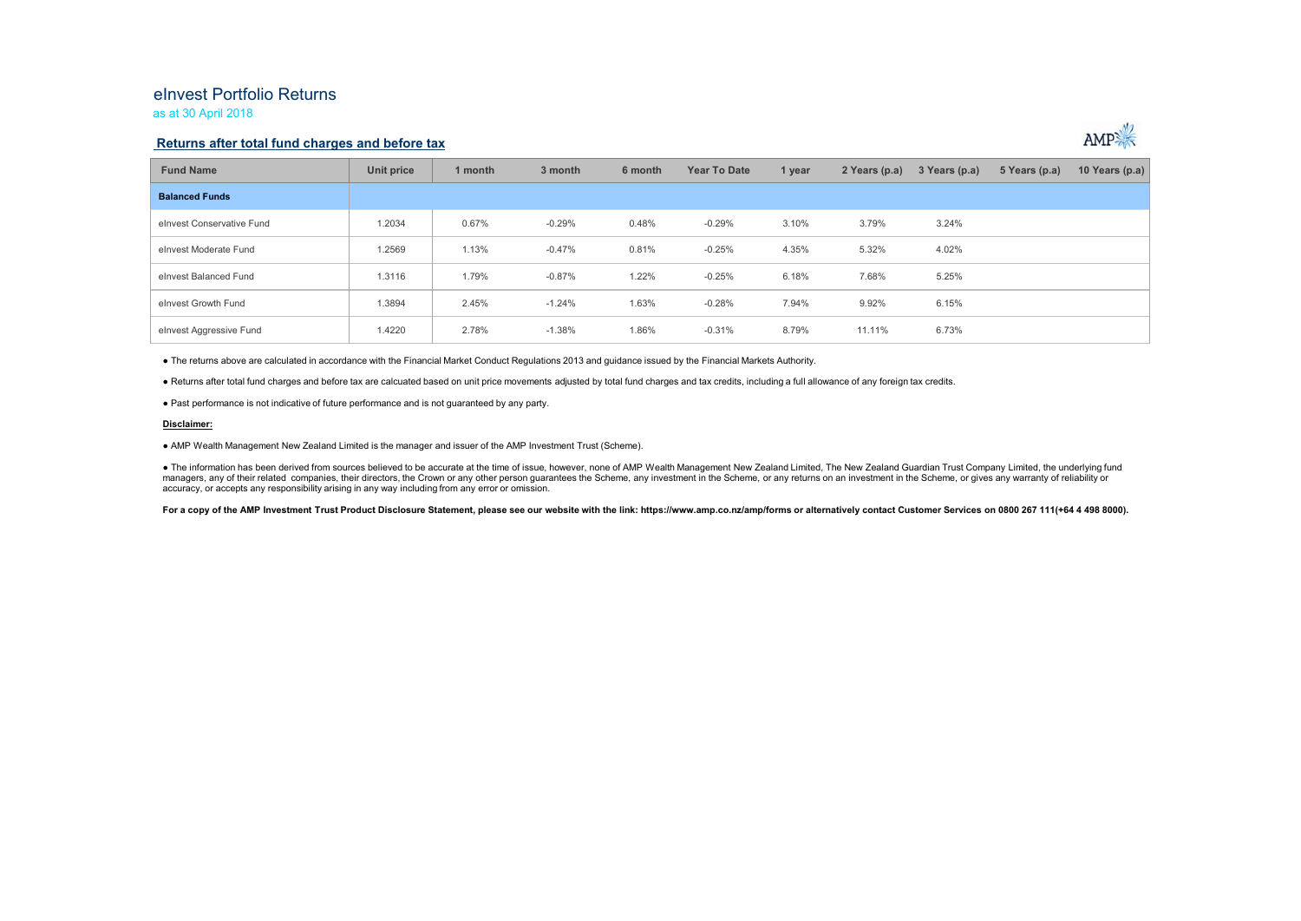## eInvest Portfolio Returnsas at 30 April 2018

### **Returns after total fund charges and before tax**



| <b>Fund Name</b>          | Unit price | 1 month | 3 month  | 6 month | <b>Year To Date</b> | 1 year | 2 Years (p.a) | 3 Years (p.a) | 5 Years (p.a) | 10 Years (p.a) |
|---------------------------|------------|---------|----------|---------|---------------------|--------|---------------|---------------|---------------|----------------|
| <b>Balanced Funds</b>     |            |         |          |         |                     |        |               |               |               |                |
| elnvest Conservative Fund | 1.2034     | 0.67%   | $-0.29%$ | 0.48%   | $-0.29%$            | 3.10%  | 3.79%         | 3.24%         |               |                |
| elnyest Moderate Fund     | 1.2569     | 1.13%   | $-0.47%$ | 0.81%   | $-0.25%$            | 4.35%  | 5.32%         | 4.02%         |               |                |
| elnvest Balanced Fund     | 1.3116     | 1.79%   | $-0.87%$ | 1.22%   | $-0.25%$            | 6.18%  | 7.68%         | 5.25%         |               |                |
| elnvest Growth Fund       | 1.3894     | 2.45%   | $-1.24%$ | 1.63%   | $-0.28%$            | 7.94%  | 9.92%         | 6.15%         |               |                |
| elnvest Aggressive Fund   | 1.4220     | 2.78%   | $-1.38%$ | 1.86%   | $-0.31%$            | 8.79%  | 11.11%        | 6.73%         |               |                |

● The returns above are calculated in accordance with the Financial Market Conduct Regulations 2013 and guidance issued by the Financial Markets Authority.

● Returns after total fund charges and before tax are calcuated based on unit price movements adjusted by total fund charges and tax credits, including a full allowance of any foreign tax credits.

● Past performance is not indicative of future performance and is not guaranteed by any party.

#### **Disclaimer:**

● AMP Wealth Management New Zealand Limited is the manager and issuer of the AMP Investment Trust (Scheme).

● The information has been derived from sources believed to be accurate at the time of issue, however, none of AMP Wealth Management New Zealand Limited, The New Zealand Guardian Trust Company Limited, the underlying fund managers, any of their related companies, their directors, the Crown or any other person quarantees the Scheme, any investment in the Scheme, or any returns on an investment in the Scheme, or gives any warranty of reliabil accuracy, or accepts any responsibility arising in any way including from any error or omission.

For a copy of the AMP Investment Trust Product Disclosure Statement, please see our website with the link: https://www.amp.co.nz/amp/forms or alternatively contact Customer Services on 0800 267 111(+64 4 498 8000).